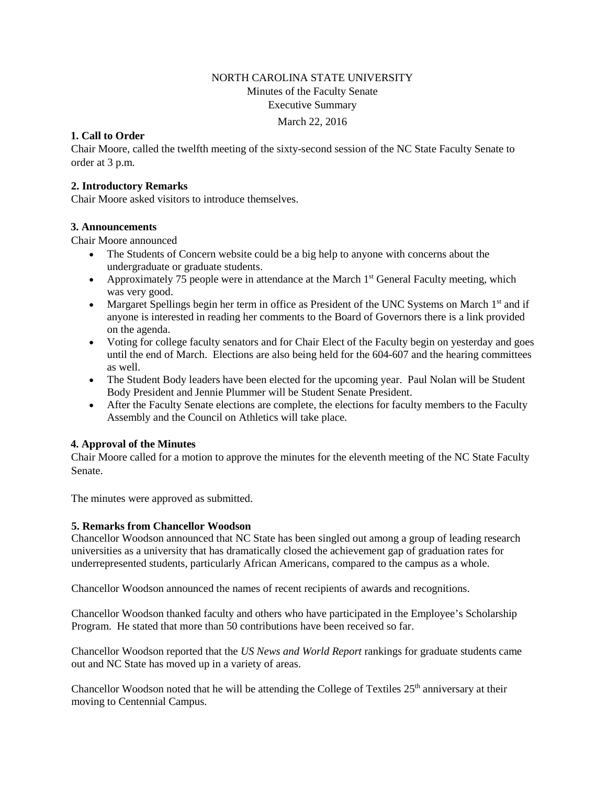# NORTH CAROLINA STATE UNIVERSITY Minutes of the Faculty Senate Executive Summary

#### March 22, 2016

# **1. Call to Order**

Chair Moore, called the twelfth meeting of the sixty-second session of the NC State Faculty Senate to order at 3 p.m.

### **2. Introductory Remarks**

Chair Moore asked visitors to introduce themselves.

### **3. Announcements**

Chair Moore announced

- The Students of Concern website could be a big help to anyone with concerns about the undergraduate or graduate students.
- Approximately 75 people were in attendance at the March  $1<sup>st</sup>$  General Faculty meeting, which was very good.
- Margaret Spellings begin her term in office as President of the UNC Systems on March 1<sup>st</sup> and if anyone is interested in reading her comments to the Board of Governors there is a link provided on the agenda.
- Voting for college faculty senators and for Chair Elect of the Faculty begin on yesterday and goes until the end of March. Elections are also being held for the 604-607 and the hearing committees as well.
- The Student Body leaders have been elected for the upcoming year. Paul Nolan will be Student Body President and Jennie Plummer will be Student Senate President.
- After the Faculty Senate elections are complete, the elections for faculty members to the Faculty Assembly and the Council on Athletics will take place.

### **4. Approval of the Minutes**

Chair Moore called for a motion to approve the minutes for the eleventh meeting of the NC State Faculty Senate.

The minutes were approved as submitted.

### **5. Remarks from Chancellor Woodson**

Chancellor Woodson announced that NC State has been singled out among a group of leading research universities as a university that has dramatically closed the achievement gap of graduation rates for underrepresented students, particularly African Americans, compared to the campus as a whole.

Chancellor Woodson announced the names of recent recipients of awards and recognitions.

Chancellor Woodson thanked faculty and others who have participated in the Employee's Scholarship Program. He stated that more than 50 contributions have been received so far.

Chancellor Woodson reported that the *US News and World Report* rankings for graduate students came out and NC State has moved up in a variety of areas.

Chancellor Woodson noted that he will be attending the College of Textiles  $25<sup>th</sup>$  anniversary at their moving to Centennial Campus.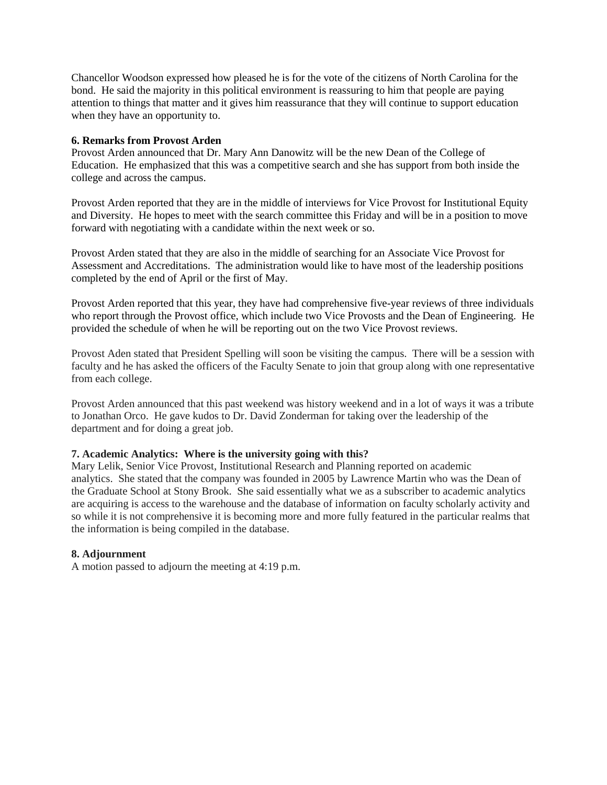Chancellor Woodson expressed how pleased he is for the vote of the citizens of North Carolina for the bond. He said the majority in this political environment is reassuring to him that people are paying attention to things that matter and it gives him reassurance that they will continue to support education when they have an opportunity to.

### **6. Remarks from Provost Arden**

Provost Arden announced that Dr. Mary Ann Danowitz will be the new Dean of the College of Education. He emphasized that this was a competitive search and she has support from both inside the college and across the campus.

Provost Arden reported that they are in the middle of interviews for Vice Provost for Institutional Equity and Diversity. He hopes to meet with the search committee this Friday and will be in a position to move forward with negotiating with a candidate within the next week or so.

Provost Arden stated that they are also in the middle of searching for an Associate Vice Provost for Assessment and Accreditations. The administration would like to have most of the leadership positions completed by the end of April or the first of May.

Provost Arden reported that this year, they have had comprehensive five-year reviews of three individuals who report through the Provost office, which include two Vice Provosts and the Dean of Engineering. He provided the schedule of when he will be reporting out on the two Vice Provost reviews.

Provost Aden stated that President Spelling will soon be visiting the campus. There will be a session with faculty and he has asked the officers of the Faculty Senate to join that group along with one representative from each college.

Provost Arden announced that this past weekend was history weekend and in a lot of ways it was a tribute to Jonathan Orco. He gave kudos to Dr. David Zonderman for taking over the leadership of the department and for doing a great job.

### **7. Academic Analytics: Where is the university going with this?**

Mary Lelik, Senior Vice Provost, Institutional Research and Planning reported on academic analytics. She stated that the company was founded in 2005 by Lawrence Martin who was the Dean of the Graduate School at Stony Brook. She said essentially what we as a subscriber to academic analytics are acquiring is access to the warehouse and the database of information on faculty scholarly activity and so while it is not comprehensive it is becoming more and more fully featured in the particular realms that the information is being compiled in the database.

### **8. Adjournment**

A motion passed to adjourn the meeting at 4:19 p.m.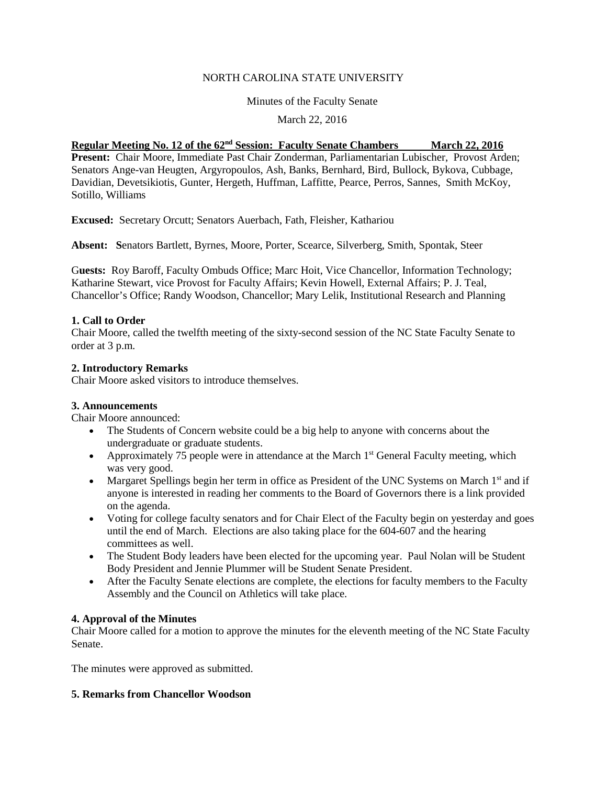# NORTH CAROLINA STATE UNIVERSITY

### Minutes of the Faculty Senate

# March 22, 2016

# **Regular Meeting No. 12 of the 62<sup>nd</sup> Session: Faculty Senate Chambers March 22, 2016**

**Present:** Chair Moore, Immediate Past Chair Zonderman, Parliamentarian Lubischer, Provost Arden; Senators Ange-van Heugten, Argyropoulos, Ash, Banks, Bernhard, Bird, Bullock, Bykova, Cubbage, Davidian, Devetsikiotis, Gunter, Hergeth, Huffman, Laffitte, Pearce, Perros, Sannes, Smith McKoy, Sotillo, Williams

**Excused:** Secretary Orcutt; Senators Auerbach, Fath, Fleisher, Kathariou

**Absent: S**enators Bartlett, Byrnes, Moore, Porter, Scearce, Silverberg, Smith, Spontak, Steer

G**uests:** Roy Baroff, Faculty Ombuds Office; Marc Hoit, Vice Chancellor, Information Technology; Katharine Stewart, vice Provost for Faculty Affairs; Kevin Howell, External Affairs; P. J. Teal, Chancellor's Office; Randy Woodson, Chancellor; Mary Lelik, Institutional Research and Planning

### **1. Call to Order**

Chair Moore, called the twelfth meeting of the sixty-second session of the NC State Faculty Senate to order at 3 p.m.

#### **2. Introductory Remarks**

Chair Moore asked visitors to introduce themselves.

### **3. Announcements**

Chair Moore announced:

- The Students of Concern website could be a big help to anyone with concerns about the undergraduate or graduate students.
- Approximately 75 people were in attendance at the March  $1<sup>st</sup>$  General Faculty meeting, which was very good.
- Margaret Spellings begin her term in office as President of the UNC Systems on March  $1<sup>st</sup>$  and if anyone is interested in reading her comments to the Board of Governors there is a link provided on the agenda.
- Voting for college faculty senators and for Chair Elect of the Faculty begin on yesterday and goes until the end of March. Elections are also taking place for the 604-607 and the hearing committees as well.
- The Student Body leaders have been elected for the upcoming year. Paul Nolan will be Student Body President and Jennie Plummer will be Student Senate President.
- After the Faculty Senate elections are complete, the elections for faculty members to the Faculty Assembly and the Council on Athletics will take place.

### **4. Approval of the Minutes**

Chair Moore called for a motion to approve the minutes for the eleventh meeting of the NC State Faculty Senate.

The minutes were approved as submitted.

### **5. Remarks from Chancellor Woodson**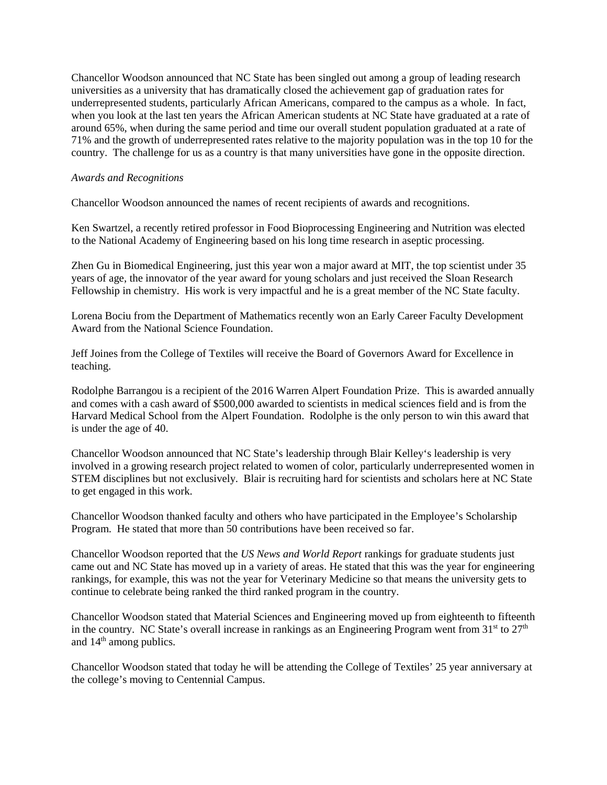Chancellor Woodson announced that NC State has been singled out among a group of leading research universities as a university that has dramatically closed the achievement gap of graduation rates for underrepresented students, particularly African Americans, compared to the campus as a whole. In fact, when you look at the last ten years the African American students at NC State have graduated at a rate of around 65%, when during the same period and time our overall student population graduated at a rate of 71% and the growth of underrepresented rates relative to the majority population was in the top 10 for the country. The challenge for us as a country is that many universities have gone in the opposite direction.

#### *Awards and Recognitions*

Chancellor Woodson announced the names of recent recipients of awards and recognitions.

Ken Swartzel, a recently retired professor in Food Bioprocessing Engineering and Nutrition was elected to the National Academy of Engineering based on his long time research in aseptic processing.

Zhen Gu in Biomedical Engineering, just this year won a major award at MIT, the top scientist under 35 years of age, the innovator of the year award for young scholars and just received the Sloan Research Fellowship in chemistry. His work is very impactful and he is a great member of the NC State faculty.

Lorena Bociu from the Department of Mathematics recently won an Early Career Faculty Development Award from the National Science Foundation.

Jeff Joines from the College of Textiles will receive the Board of Governors Award for Excellence in teaching.

Rodolphe Barrangou is a recipient of the 2016 Warren Alpert Foundation Prize. This is awarded annually and comes with a cash award of \$500,000 awarded to scientists in medical sciences field and is from the Harvard Medical School from the Alpert Foundation. Rodolphe is the only person to win this award that is under the age of 40.

Chancellor Woodson announced that NC State's leadership through Blair Kelley's leadership is very involved in a growing research project related to women of color, particularly underrepresented women in STEM disciplines but not exclusively. Blair is recruiting hard for scientists and scholars here at NC State to get engaged in this work.

Chancellor Woodson thanked faculty and others who have participated in the Employee's Scholarship Program. He stated that more than 50 contributions have been received so far.

Chancellor Woodson reported that the *US News and World Report* rankings for graduate students just came out and NC State has moved up in a variety of areas. He stated that this was the year for engineering rankings, for example, this was not the year for Veterinary Medicine so that means the university gets to continue to celebrate being ranked the third ranked program in the country.

Chancellor Woodson stated that Material Sciences and Engineering moved up from eighteenth to fifteenth in the country. NC State's overall increase in rankings as an Engineering Program went from  $31<sup>st</sup>$  to  $27<sup>th</sup>$ and  $14<sup>th</sup>$  among publics.

Chancellor Woodson stated that today he will be attending the College of Textiles' 25 year anniversary at the college's moving to Centennial Campus.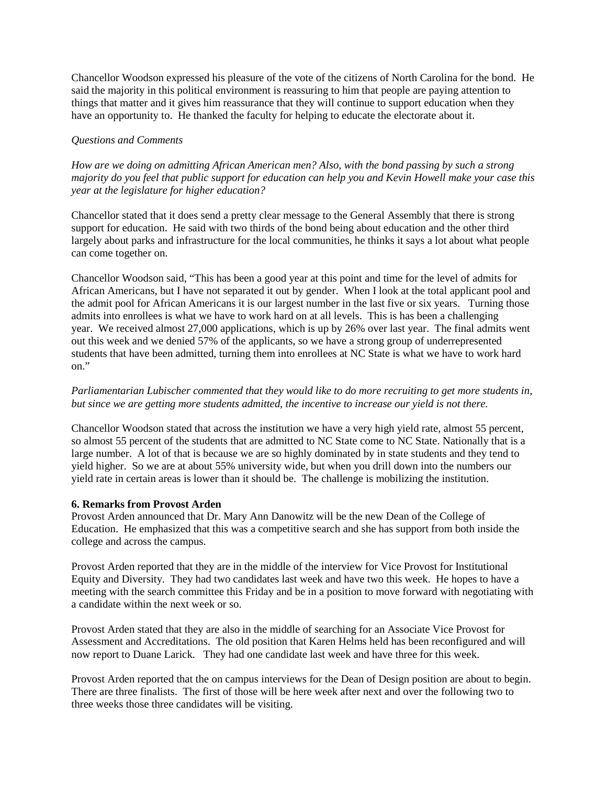Chancellor Woodson expressed his pleasure of the vote of the citizens of North Carolina for the bond. He said the majority in this political environment is reassuring to him that people are paying attention to things that matter and it gives him reassurance that they will continue to support education when they have an opportunity to. He thanked the faculty for helping to educate the electorate about it.

### *Questions and Comments*

*How are we doing on admitting African American men? Also, with the bond passing by such a strong majority do you feel that public support for education can help you and Kevin Howell make your case this year at the legislature for higher education?* 

Chancellor stated that it does send a pretty clear message to the General Assembly that there is strong support for education. He said with two thirds of the bond being about education and the other third largely about parks and infrastructure for the local communities, he thinks it says a lot about what people can come together on.

Chancellor Woodson said, "This has been a good year at this point and time for the level of admits for African Americans, but I have not separated it out by gender. When I look at the total applicant pool and the admit pool for African Americans it is our largest number in the last five or six years. Turning those admits into enrollees is what we have to work hard on at all levels. This is has been a challenging year. We received almost 27,000 applications, which is up by 26% over last year. The final admits went out this week and we denied 57% of the applicants, so we have a strong group of underrepresented students that have been admitted, turning them into enrollees at NC State is what we have to work hard on."

*Parliamentarian Lubischer commented that they would like to do more recruiting to get more students in, but since we are getting more students admitted, the incentive to increase our yield is not there.* 

Chancellor Woodson stated that across the institution we have a very high yield rate, almost 55 percent, so almost 55 percent of the students that are admitted to NC State come to NC State. Nationally that is a large number. A lot of that is because we are so highly dominated by in state students and they tend to yield higher. So we are at about 55% university wide, but when you drill down into the numbers our yield rate in certain areas is lower than it should be. The challenge is mobilizing the institution.

### **6. Remarks from Provost Arden**

Provost Arden announced that Dr. Mary Ann Danowitz will be the new Dean of the College of Education. He emphasized that this was a competitive search and she has support from both inside the college and across the campus.

Provost Arden reported that they are in the middle of the interview for Vice Provost for Institutional Equity and Diversity. They had two candidates last week and have two this week. He hopes to have a meeting with the search committee this Friday and be in a position to move forward with negotiating with a candidate within the next week or so.

Provost Arden stated that they are also in the middle of searching for an Associate Vice Provost for Assessment and Accreditations. The old position that Karen Helms held has been reconfigured and will now report to Duane Larick. They had one candidate last week and have three for this week.

Provost Arden reported that the on campus interviews for the Dean of Design position are about to begin. There are three finalists. The first of those will be here week after next and over the following two to three weeks those three candidates will be visiting.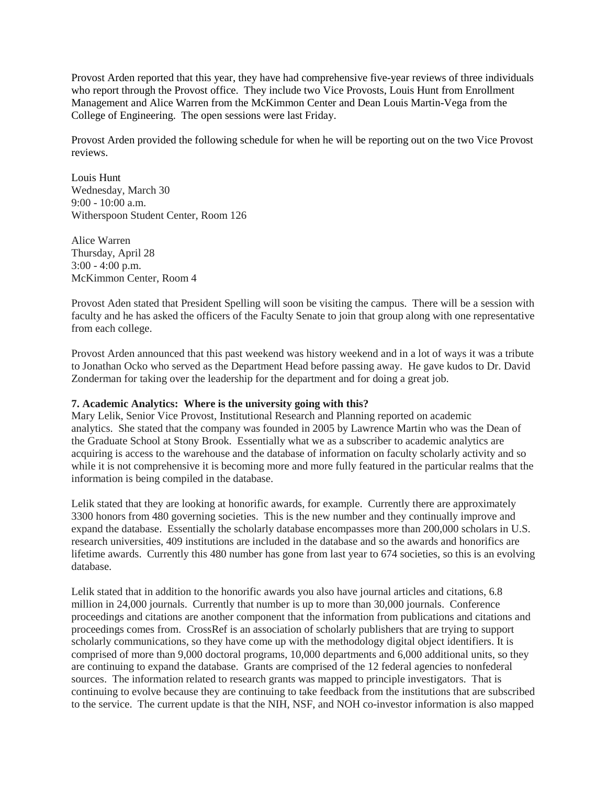Provost Arden reported that this year, they have had comprehensive five-year reviews of three individuals who report through the Provost office. They include two Vice Provosts, Louis Hunt from Enrollment Management and Alice Warren from the McKimmon Center and Dean Louis Martin-Vega from the College of Engineering. The open sessions were last Friday.

Provost Arden provided the following schedule for when he will be reporting out on the two Vice Provost reviews.

Louis Hunt Wednesday, March 30 9:00 - 10:00 a.m. Witherspoon Student Center, Room 126

Alice Warren Thursday, April 28 3:00 - 4:00 p.m. McKimmon Center, Room 4

Provost Aden stated that President Spelling will soon be visiting the campus. There will be a session with faculty and he has asked the officers of the Faculty Senate to join that group along with one representative from each college.

Provost Arden announced that this past weekend was history weekend and in a lot of ways it was a tribute to Jonathan Ocko who served as the Department Head before passing away. He gave kudos to Dr. David Zonderman for taking over the leadership for the department and for doing a great job.

#### **7. Academic Analytics: Where is the university going with this?**

Mary Lelik, Senior Vice Provost, Institutional Research and Planning reported on academic analytics. She stated that the company was founded in 2005 by Lawrence Martin who was the Dean of the Graduate School at Stony Brook. Essentially what we as a subscriber to academic analytics are acquiring is access to the warehouse and the database of information on faculty scholarly activity and so while it is not comprehensive it is becoming more and more fully featured in the particular realms that the information is being compiled in the database.

Lelik stated that they are looking at honorific awards, for example. Currently there are approximately 3300 honors from 480 governing societies. This is the new number and they continually improve and expand the database. Essentially the scholarly database encompasses more than 200,000 scholars in U.S. research universities, 409 institutions are included in the database and so the awards and honorifics are lifetime awards. Currently this 480 number has gone from last year to 674 societies, so this is an evolving database.

Lelik stated that in addition to the honorific awards you also have journal articles and citations, 6.8 million in 24,000 journals. Currently that number is up to more than 30,000 journals. Conference proceedings and citations are another component that the information from publications and citations and proceedings comes from. CrossRef is an association of scholarly publishers that are trying to support scholarly communications, so they have come up with the methodology digital object identifiers. It is comprised of more than 9,000 doctoral programs, 10,000 departments and 6,000 additional units, so they are continuing to expand the database. Grants are comprised of the 12 federal agencies to nonfederal sources. The information related to research grants was mapped to principle investigators. That is continuing to evolve because they are continuing to take feedback from the institutions that are subscribed to the service. The current update is that the NIH, NSF, and NOH co-investor information is also mapped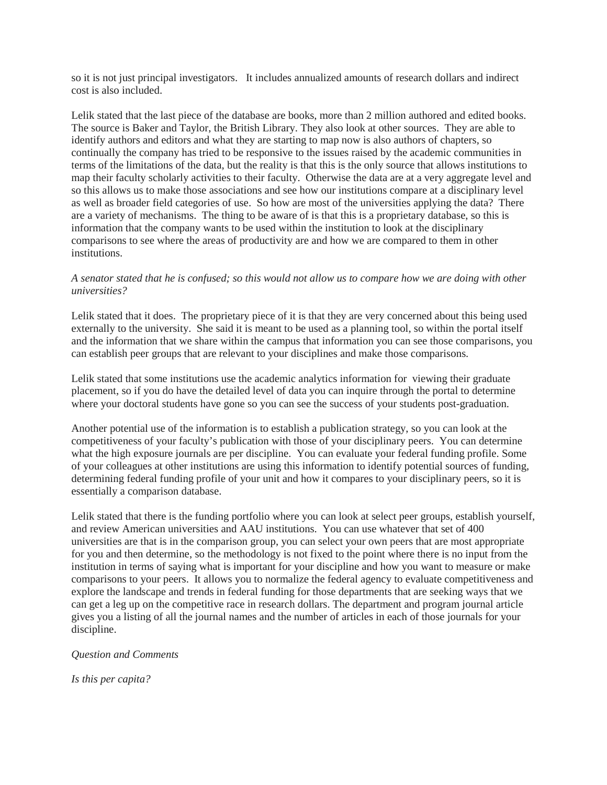so it is not just principal investigators. It includes annualized amounts of research dollars and indirect cost is also included.

Lelik stated that the last piece of the database are books, more than 2 million authored and edited books. The source is Baker and Taylor, the British Library. They also look at other sources. They are able to identify authors and editors and what they are starting to map now is also authors of chapters, so continually the company has tried to be responsive to the issues raised by the academic communities in terms of the limitations of the data, but the reality is that this is the only source that allows institutions to map their faculty scholarly activities to their faculty. Otherwise the data are at a very aggregate level and so this allows us to make those associations and see how our institutions compare at a disciplinary level as well as broader field categories of use. So how are most of the universities applying the data? There are a variety of mechanisms. The thing to be aware of is that this is a proprietary database, so this is information that the company wants to be used within the institution to look at the disciplinary comparisons to see where the areas of productivity are and how we are compared to them in other institutions.

### *A senator stated that he is confused; so this would not allow us to compare how we are doing with other universities?*

Lelik stated that it does. The proprietary piece of it is that they are very concerned about this being used externally to the university. She said it is meant to be used as a planning tool, so within the portal itself and the information that we share within the campus that information you can see those comparisons, you can establish peer groups that are relevant to your disciplines and make those comparisons.

Lelik stated that some institutions use the academic analytics information for viewing their graduate placement, so if you do have the detailed level of data you can inquire through the portal to determine where your doctoral students have gone so you can see the success of your students post-graduation.

Another potential use of the information is to establish a publication strategy, so you can look at the competitiveness of your faculty's publication with those of your disciplinary peers. You can determine what the high exposure journals are per discipline. You can evaluate your federal funding profile. Some of your colleagues at other institutions are using this information to identify potential sources of funding, determining federal funding profile of your unit and how it compares to your disciplinary peers, so it is essentially a comparison database.

Lelik stated that there is the funding portfolio where you can look at select peer groups, establish yourself, and review American universities and AAU institutions. You can use whatever that set of 400 universities are that is in the comparison group, you can select your own peers that are most appropriate for you and then determine, so the methodology is not fixed to the point where there is no input from the institution in terms of saying what is important for your discipline and how you want to measure or make comparisons to your peers. It allows you to normalize the federal agency to evaluate competitiveness and explore the landscape and trends in federal funding for those departments that are seeking ways that we can get a leg up on the competitive race in research dollars. The department and program journal article gives you a listing of all the journal names and the number of articles in each of those journals for your discipline.

### *Question and Comments*

*Is this per capita?*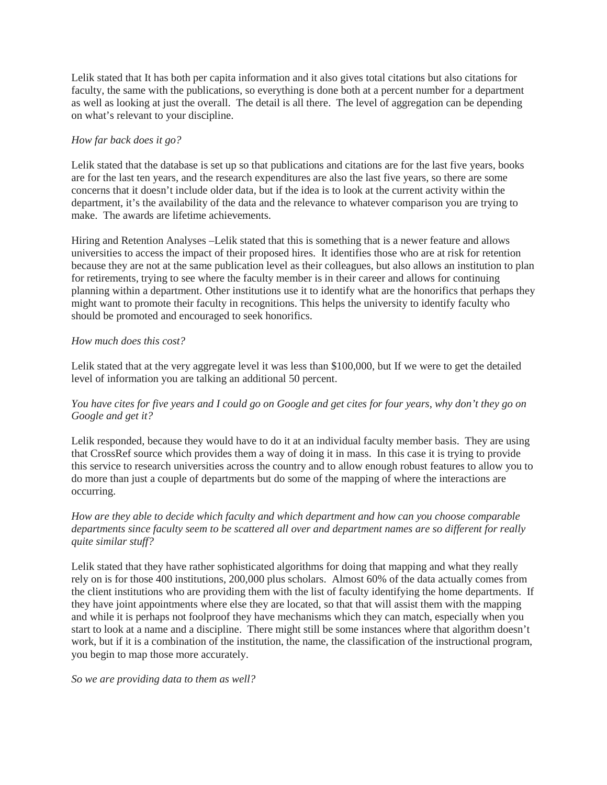Lelik stated that It has both per capita information and it also gives total citations but also citations for faculty, the same with the publications, so everything is done both at a percent number for a department as well as looking at just the overall. The detail is all there. The level of aggregation can be depending on what's relevant to your discipline.

# *How far back does it go?*

Lelik stated that the database is set up so that publications and citations are for the last five years, books are for the last ten years, and the research expenditures are also the last five years, so there are some concerns that it doesn't include older data, but if the idea is to look at the current activity within the department, it's the availability of the data and the relevance to whatever comparison you are trying to make. The awards are lifetime achievements.

Hiring and Retention Analyses –Lelik stated that this is something that is a newer feature and allows universities to access the impact of their proposed hires. It identifies those who are at risk for retention because they are not at the same publication level as their colleagues, but also allows an institution to plan for retirements, trying to see where the faculty member is in their career and allows for continuing planning within a department. Other institutions use it to identify what are the honorifics that perhaps they might want to promote their faculty in recognitions. This helps the university to identify faculty who should be promoted and encouraged to seek honorifics.

# *How much does this cost?*

Lelik stated that at the very aggregate level it was less than \$100,000, but If we were to get the detailed level of information you are talking an additional 50 percent.

# *You have cites for five years and I could go on Google and get cites for four years, why don't they go on Google and get it?*

Lelik responded, because they would have to do it at an individual faculty member basis. They are using that CrossRef source which provides them a way of doing it in mass. In this case it is trying to provide this service to research universities across the country and to allow enough robust features to allow you to do more than just a couple of departments but do some of the mapping of where the interactions are occurring.

# *How are they able to decide which faculty and which department and how can you choose comparable departments since faculty seem to be scattered all over and department names are so different for really quite similar stuff?*

Lelik stated that they have rather sophisticated algorithms for doing that mapping and what they really rely on is for those 400 institutions, 200,000 plus scholars. Almost 60% of the data actually comes from the client institutions who are providing them with the list of faculty identifying the home departments. If they have joint appointments where else they are located, so that that will assist them with the mapping and while it is perhaps not foolproof they have mechanisms which they can match, especially when you start to look at a name and a discipline. There might still be some instances where that algorithm doesn't work, but if it is a combination of the institution, the name, the classification of the instructional program, you begin to map those more accurately.

### *So we are providing data to them as well?*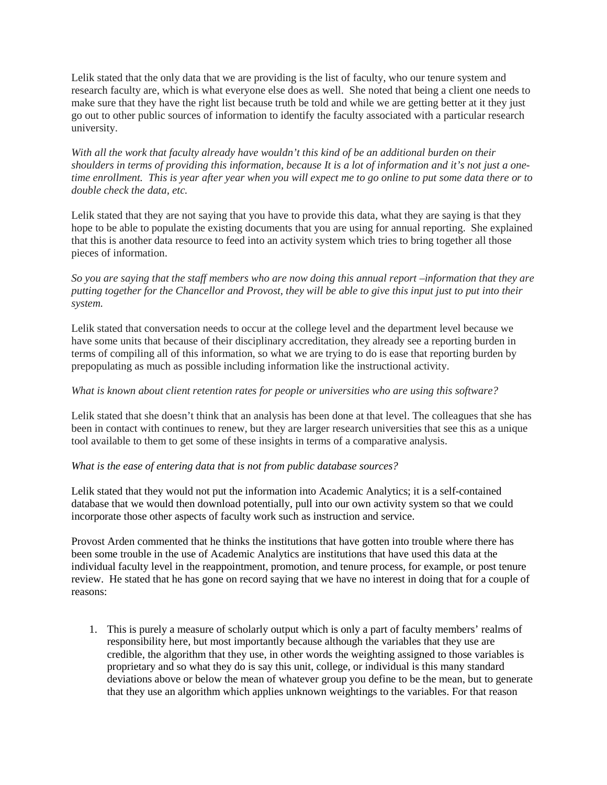Lelik stated that the only data that we are providing is the list of faculty, who our tenure system and research faculty are, which is what everyone else does as well. She noted that being a client one needs to make sure that they have the right list because truth be told and while we are getting better at it they just go out to other public sources of information to identify the faculty associated with a particular research university.

*With all the work that faculty already have wouldn't this kind of be an additional burden on their shoulders in terms of providing this information, because It is a lot of information and it's not just a onetime enrollment. This is year after year when you will expect me to go online to put some data there or to double check the data, etc.* 

Lelik stated that they are not saying that you have to provide this data, what they are saying is that they hope to be able to populate the existing documents that you are using for annual reporting. She explained that this is another data resource to feed into an activity system which tries to bring together all those pieces of information.

*So you are saying that the staff members who are now doing this annual report –information that they are putting together for the Chancellor and Provost, they will be able to give this input just to put into their system.* 

Lelik stated that conversation needs to occur at the college level and the department level because we have some units that because of their disciplinary accreditation, they already see a reporting burden in terms of compiling all of this information, so what we are trying to do is ease that reporting burden by prepopulating as much as possible including information like the instructional activity.

#### *What is known about client retention rates for people or universities who are using this software?*

Lelik stated that she doesn't think that an analysis has been done at that level. The colleagues that she has been in contact with continues to renew, but they are larger research universities that see this as a unique tool available to them to get some of these insights in terms of a comparative analysis.

#### *What is the ease of entering data that is not from public database sources?*

Lelik stated that they would not put the information into Academic Analytics; it is a self-contained database that we would then download potentially, pull into our own activity system so that we could incorporate those other aspects of faculty work such as instruction and service.

Provost Arden commented that he thinks the institutions that have gotten into trouble where there has been some trouble in the use of Academic Analytics are institutions that have used this data at the individual faculty level in the reappointment, promotion, and tenure process, for example, or post tenure review. He stated that he has gone on record saying that we have no interest in doing that for a couple of reasons:

1. This is purely a measure of scholarly output which is only a part of faculty members' realms of responsibility here, but most importantly because although the variables that they use are credible, the algorithm that they use, in other words the weighting assigned to those variables is proprietary and so what they do is say this unit, college, or individual is this many standard deviations above or below the mean of whatever group you define to be the mean, but to generate that they use an algorithm which applies unknown weightings to the variables. For that reason